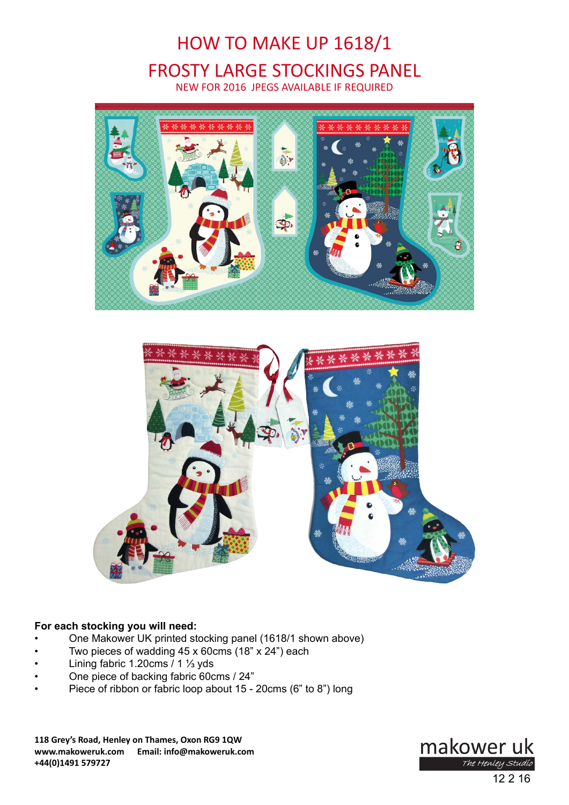# HOW TO MAKE UP 1618/1 FROSTY LARGE STOCKINGS PANEL NEW FOR 2016 JPEGS AVAILABLE IF REQUIRED





# **For each stocking you will need:**

- One Makower UK printed stocking panel (1618/1 shown above)
- Two pieces of wadding  $45 \times 60$  cms  $(18" \times 24")$  each
- Lining fabric 1.20cms  $/ 1$  <sup>1</sup>/<sub>3</sub> yds
- One piece of backing fabric 60cms / 24"
- Piece of ribbon or fabric loop about 15 20cms (6" to 8") long

**118 Grey's Road, Henley on Thames, Oxon RG9 1QW www.makoweruk.com Email: info@makoweruk.com +44(0)1491 579727**